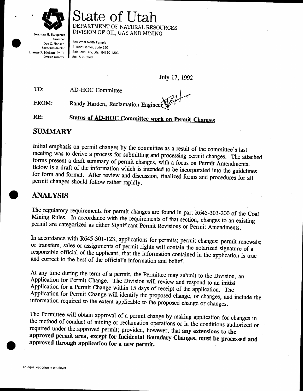

# State of Utah DEPARTMENT OF NATURAL RESOURCES<br>DIVISION OF OIL, GAS AND MINING

Norman H. Bangerter Governor Dee C. Hansen Executive Director Dianne R. Nielson, ph.D. Division Direetor

355 West North Temple 3 Triad Center, Suite 350 Salt Lake City, Utah 84180-1203 801 -538-5340

July 17, 1992

TO: AD-HOC Committee

FROM: Randy Harden, Reclamation Engineer

RE: **Status of AD-HOC Committee work on Permit Changes** 

## SUMMARY

Initial emphasis on permit changes by the committee as a result of the committee's last<br>meeting was to derive a process for submitting and processing permit changes. The attached<br>forms present a draft summary of permit cha

## ANALYSIS

The regulatory requirements for permit changes are found in part R645-303-200 of the Coal Mining Rules. In accordance with the requirements of that section, changes to an existing permit are categorized as either Significa

In accordance with R645-301-123, applications for permits; permit changes; permit renewals; or transfers, sales or assignments of permit rights will contain the notarized signature of a responsible official of the applicant, that the information contained in the application is true and correct to the best of the official's information and betief.

At any time during the term of a permit, the Permittee may submit to the Division, an Application for Permit Change. The Division will review and respond to an initial Application for a Permit Change within 15 days of rece

The Permittee will obtain approval of a permit change by making application for changes in<br>the method of conduct of mining or reclamation operations or in the conditions authorized or<br>required under the approved permit; pr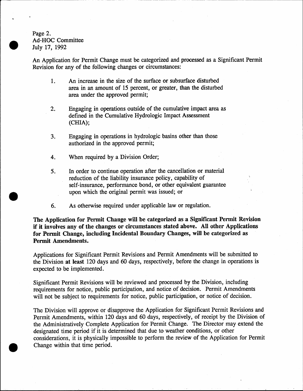Page 2. Ad-HOC Committee July 17, 1992

An Application for Permit Change must be categorized and processed as a Significant Permit Revision for any of the following changes or circumstances:

- 1. An increase in the size of the surface or subsurface disturbed area in an amount of 15 percent, or greater, than the disturbed
- area under the approved permit;<br>2. Engaging in operations outside of the cumulative impact area as<br>defined in the Cumulative Hydrologic Impact Assessment (GHIA);
- 3. Engaging in operations in hydrologic basins other than those authorized in the approved permit;
- 4. When required by a Division Order;
- 5. In order to continue operation after the cancellation or material reduction of the liability insurance policy, capability of self-insurance, performance bond, or other equivalent guarantee upon which the original permit was issued; or -
- 6. As otherwise required under applicable law or regulation.

The Application for Permit Change will be categorized as a Significant Permit Revision if it involves any of the changes or circumstances stated aboye. AII other Applications for Permit Change, including Incidental Boundary Changes, will be categorized as Permit Amendments.

Applications for Significant Permit Revisions and Permit Amendments will be submitted to the Division at least 120 days and 60 days, respectively, before the change in operations is expected to be implemented.

Significant Permit Revisions will be reviewed and processed by the Division, including requirements for notice, public participation, and notice of decision. Permit Amendments will not be subject to requirements for notice, public participation, or notice of decision.

The Division will approve or disapprove the Application for Significant Permit Revisions and Permit Amendments, within 120 days and 60 days, respectively, of receipt by the Division of the Administratively Complete Application for Permit Change. The Director may extend the designated time period if it is determined that due to weather conditions, or other considerations, it is physically impossible to perform the review of the Application for Permit Change within that time period,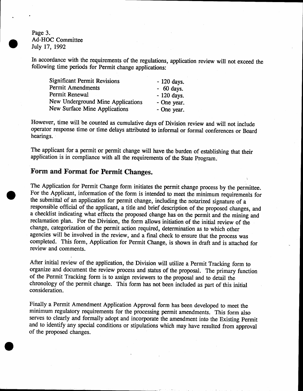Page 3. Ad-HOC Committee July 17, 1992

In accordance with the requirements of the regulations, application review will not exceed the following time periods for Permit change applications:

| <b>Significant Permit Revisions</b> | $-120$ days. |
|-------------------------------------|--------------|
| Permit Amendments                   | $-60$ days.  |
| Permit Renewal                      | - 120 days.  |
| New Underground Mine Applications   | - One year.  |
| New Surface Mine Applications       | - One year.  |

However, time will be counted as cumulative days of Division review and will not include operator response time or time delays attributed to informal or formal conferences or Board hearings.

The applicant for a permit or permit change will have the burden of establishing that their application is in compliance with all the requirements of the State program;

### Form and Format for Permit Changes.

The Application for Permit Change form initiates the permit change process by the permittee. For the Applicant, information of the form is intended to meet the minimum requirements for the submittal of an application for permit change, including the notarized signature of <sup>a</sup> responsible official of the applicant, a title and brief description of the proposed changes, and a checklist indicating what effects the proposed change has on the permlt and the mining and reclamation plan. For the Division, the form allows initiation of the initial review of the change, categorization of the permit action required, determination as to which other agencies will be involved in the review, and a final check to ensure that the process was completed. This form, Application for Permit Change, is shown in draft and is attached for review and comments.

.

After initial review of the application, the Division will utilize a Permit Tracking form to organize and document the review process and status of the proposal. The primary function of the Permit Tracking form is to assign reviewers to the proposal and to detail the chronology of the permit change. This form has not been included as part of this initial consideration.

Finally a Permit Amendment Application Approval form has been developed to meet the minimum regulatory requirements for the processing permit amendments. This form also serves to clearly and formally adopt and incorporate the amendment into the Existing Permit and to identify any special conditions or stipulations which may have resulted from approval of the proposed changes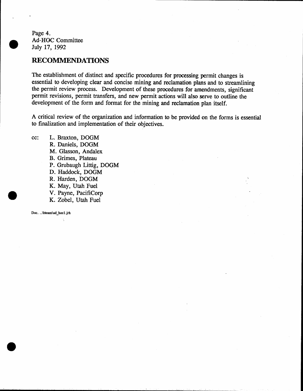Page 4. Ad-HOC Committee July 17, 1992

#### **RECOMMENDATIONS**

The establishment of distinct and specific procedures for processing permit changes is essential to developing clear and concise mining and reclamation plans and to strearnlining the permit review process. Development of these procedures for amendments, significant permit revisions, permit transfers, and new permit actions will also serve to outline the development of the form and format for the mining and reclamation plan itself.

A critical review of the organization and information to be provided on the forms is essential to finalization and implementation of their objectives.

cc: L. Braxton, DOGM R. Daniels, DOGM M. Glasson, Andalex B. Grimes, Plateau P, Grubaugh Littig, DOGM D. Haddock, DOGM R. Harden, DOGM K. May, Utah Fuel V. Payne, PacifiCorp K. Zobel, Utah Fuel

Doc. ..\bteam\ad hoc1.jrh

 $\tau$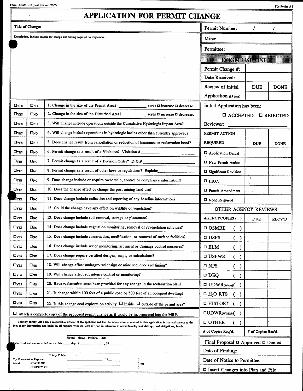Form DOGM - C (Last Revised 7/92)

File Folder # 3

|                        |                                    | <b>APPLICATION FOR PERMIT CHANGE</b>                                                                                                                                                                                                                                                                |                                              |                    |                   |
|------------------------|------------------------------------|-----------------------------------------------------------------------------------------------------------------------------------------------------------------------------------------------------------------------------------------------------------------------------------------------------|----------------------------------------------|--------------------|-------------------|
|                        | Title of Change:                   |                                                                                                                                                                                                                                                                                                     | Permit Number:                               |                    |                   |
|                        |                                    | Description, include reason for change and timing required to implement:                                                                                                                                                                                                                            | Mine:                                        |                    |                   |
|                        |                                    |                                                                                                                                                                                                                                                                                                     | Permittee:                                   |                    |                   |
|                        |                                    |                                                                                                                                                                                                                                                                                                     | dogmers ombo                                 |                    |                   |
|                        |                                    |                                                                                                                                                                                                                                                                                                     | Permit Change #:                             |                    |                   |
|                        |                                    |                                                                                                                                                                                                                                                                                                     | Date Received:                               |                    |                   |
|                        |                                    |                                                                                                                                                                                                                                                                                                     | Review of Initial                            | <b>DUE</b>         | <b>DONE</b>       |
|                        |                                    |                                                                                                                                                                                                                                                                                                     | Application (15 days)                        |                    |                   |
| Ωγes                   | $\square_{NO}$                     | 1. Change in the size of the Permit Area?<br>acres $\square$ increase $\square$ decrease.                                                                                                                                                                                                           | Initial Application has been:                |                    |                   |
| Oyes                   | $\square_{\text{NO}}$              | 2. Change in the size of the Disturbed Area?<br>acres $\square$ increase $\square$ decrease.                                                                                                                                                                                                        | <b>O ACCEPTED</b>                            |                    | <b>O REJECTED</b> |
| $\square_{\text{YES}}$ | $\square_{NO}$                     | 3. Will change include operations outside the Cumulative Hydrologic Impact Area?                                                                                                                                                                                                                    | Reviewer:                                    |                    |                   |
| $\square$ YES          | Око                                | 4. Will change include operations in hydrologic basins other than currently approved?                                                                                                                                                                                                               | PERMIT ACTION                                |                    |                   |
| $\square_{\text{YES}}$ | $\square_{\text{NO}}$              | 5. Does change result from cancellation or reduction of insurance or reclamation bond?                                                                                                                                                                                                              | <b>REQUIRED</b>                              | <b>DUE</b>         | <b>DONE</b>       |
| $\square_{\text{YES}}$ | $\square_{NO}$                     |                                                                                                                                                                                                                                                                                                     | D Application Denial                         |                    |                   |
| Oyes                   | Омо                                | 7. Permit change as a result of a Division Order? D.O.#                                                                                                                                                                                                                                             | □ New Permit Action                          |                    |                   |
| OYES                   | Пхо                                | 8. Permit change as a result of other laws or regulations? Explain:                                                                                                                                                                                                                                 | <b>D</b> Significant Revision                |                    |                   |
| $\square_{\text{YES}}$ | $\square_{\text{NO}}$              | 9. Does change include or require ownership, control or compliance information?                                                                                                                                                                                                                     | $\square$ I.B.C.                             |                    |                   |
| $\square$ YES          | $\square_{\text{NO}}$              | 10. Does the change affect or change the post mining land use?                                                                                                                                                                                                                                      | $\square$ Permit Amendment                   |                    |                   |
| LI YES                 | $\square_{\text{NO}}$              | 11. Does change include collection and reporting of any baseline information?                                                                                                                                                                                                                       | □ None Required                              |                    |                   |
| $\square_{\text{YES}}$ | $\square_{\rm NO}$                 | 12. Could the change have any effect on wildlife or vegetation?                                                                                                                                                                                                                                     | OTHER AGENCY REVIEWS                         |                    |                   |
| $\square_{\text{YES}}$ | $\square_{NO}$                     | 13. Does change include soil removal, storage or placement?                                                                                                                                                                                                                                         | AGENCYCOPIES ()                              | <b>DUE</b>         | <b>RECV'D</b>     |
| $\square$ YES          | O <sub>NO</sub>                    | 14. Does change include vegetation monitoring, removal or revegetation activities?                                                                                                                                                                                                                  | $\square$ OSMRE<br>( )                       |                    |                   |
| $\square$              | $\square_{NO}$                     | 15. Does change include construction, modification, or removal of surface facilities?                                                                                                                                                                                                               | <b>D</b> USFS<br>( )                         |                    |                   |
| $\square$ YES          | $\square_{NO}$                     | 16. Does change include water monitoring, sediment or drainage control measures?                                                                                                                                                                                                                    | $D$ BLM<br>( )                               |                    |                   |
| $\square_{\text{YES}}$ | Омо                                | 17. Does change require certified designs, maps, or calculations?                                                                                                                                                                                                                                   | □ USFWS<br>( )                               |                    |                   |
| $\square$              | $\square_{NO}$                     | 18. Will change affect underground design or mine sequence and timing?                                                                                                                                                                                                                              | NPS מ<br>( )                                 |                    |                   |
| $\Box$ YES             | $\square_{NO}$                     | 19. Will change affect subsidence control or monitoring?                                                                                                                                                                                                                                            | $\square$ DEQ<br>$\left($<br>$\lambda$       |                    |                   |
| $\square$ YES          | $\square_{NO}$                     | 20. Have reclamation costs been provided for any change in the reclamation plan?                                                                                                                                                                                                                    | $\square$ UDWR(Water)(                       |                    |                   |
| $\square$ YES          | Омо                                | 21. Is change within 100 feet of a public road or 500 feet of an occupied dwelling?                                                                                                                                                                                                                 | $\Box$ H <sub>2</sub> O RTS<br>- 1           |                    |                   |
| $\square_{\text{YES}}$ | Омо                                | 22. Is this change coal exploration activity $\Box$ inside $\Box$ outside of the permit area?                                                                                                                                                                                                       | <b>D HISTORY</b>                             |                    |                   |
|                        |                                    | $\Box$ Attach a complete copy of the proposed permit change as it would be incorporated into the MRP.                                                                                                                                                                                               | <b>OUDWR</b> (Wildlife)                      |                    |                   |
|                        |                                    | I hereby certify that I am a responsible official of the applicant and that the information contained in this application is true and correct to the<br>best of my information and belief in all respects with the laws of Utah in reference to commitments, undertakings, and obligations, herein. | <b>D OTHER</b><br>$($ )                      |                    |                   |
|                        |                                    |                                                                                                                                                                                                                                                                                                     | # of Copies Req'd.                           | # of Copies Rec'd. |                   |
|                        |                                    | Signed - Name - Position - Date<br>ubscribed and sworn to before me this                                                                                                                                                                                                                            | Final Proposal $\Box$ Approved $\Box$ Denied |                    |                   |
|                        |                                    |                                                                                                                                                                                                                                                                                                     | Date of Finding:                             |                    |                   |
| Attest:                | My Commission Expires:<br>STATE OF | Notary Public<br>$\sim$<br>}<br>$\}$ ss:                                                                                                                                                                                                                                                            | Date of Notice to Permittee:                 |                    |                   |
|                        | <b>COUNTY OF</b>                   | ł.                                                                                                                                                                                                                                                                                                  | $\Box$ Insert Changes into Plan and File     |                    |                   |

 $\sim$   $\sim$